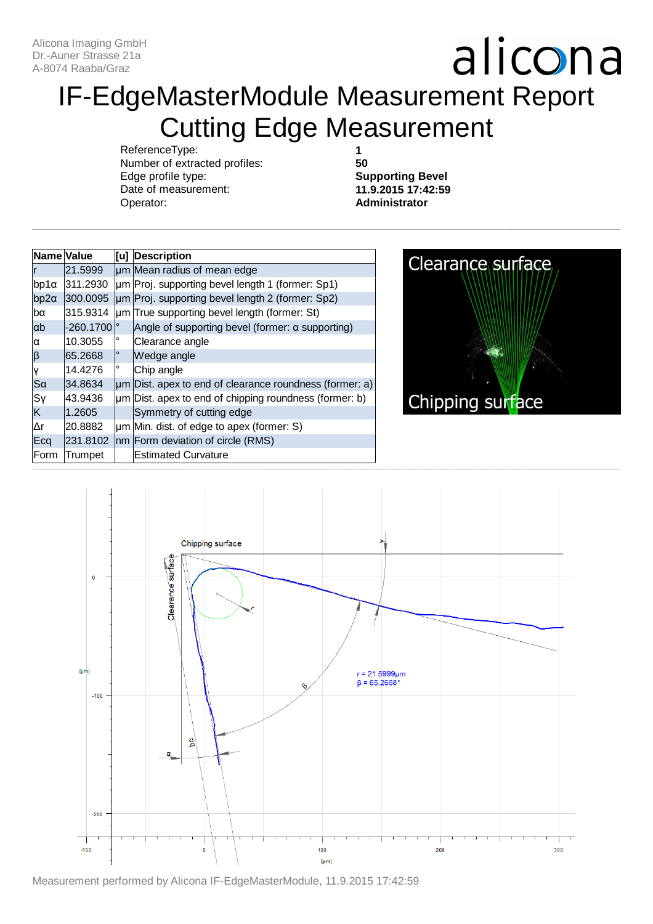### IF-EdgeMasterModule Measurement Report Cutting Edge Measurement

ReferenceType: Number of extracted profiles: Edge profile type: Date of measurement: Operator:

**1 50**

**Supporting Bevel 11.9.2015 17:42:59 Administrator**

| Name Value             |             |         | [u] Description                                              |
|------------------------|-------------|---------|--------------------------------------------------------------|
|                        | 21.5999     |         | um Mean radius of mean edge                                  |
| bp1α                   | 311.2930    |         | um Proj. supporting bevel length 1 (former: Sp1)             |
| $bp2\alpha$            | 300.0095    |         | um Proj. supporting bevel length 2 (former: Sp2)             |
| lbα                    | 315.9314    |         | um True supporting bevel length (former: St)                 |
| ab                     | $-260.1700$ |         | Angle of supporting bevel (former: $\alpha$ supporting)      |
| α                      | 10.3055     | ٥       | Clearance angle                                              |
| $ \boldsymbol{\beta} $ | 65.2668     | $\circ$ | Wedge angle                                                  |
| γ                      | 14.4276     | $\circ$ | Chip angle                                                   |
| Sα                     | 34.8634     |         | $\mu$ m Dist. apex to end of clearance roundness (former: a) |
| Sγ                     | 43.9436     |         | um Dist. apex to end of chipping roundness (former: b)       |
| ΙK                     | 1.2605      |         | Symmetry of cutting edge                                     |
| lΔr                    | 20.8882     |         | um Min. dist. of edge to apex (former: S)                    |
| Ecq                    | 231.8102    |         | nm Form deviation of circle (RMS)                            |
| Form                   | Trumpet     |         | <b>Estimated Curvature</b>                                   |





Measurement performed by Alicona IF-EdgeMasterModule, 11.9.2015 17:42:59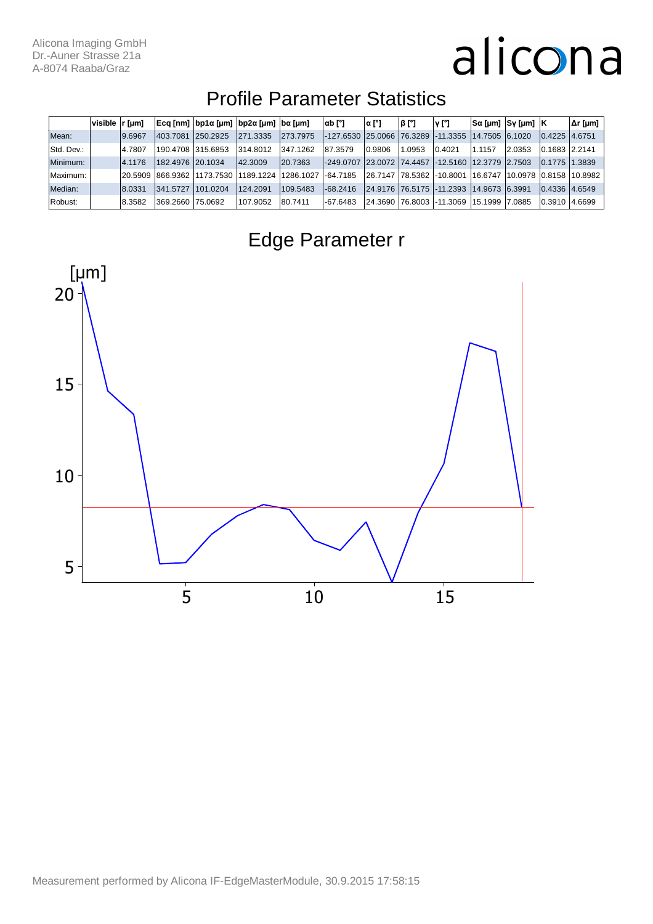#### Profile Parameter Statistics

|            | visible   r [µm] |         |                   |                     | Ecq [nm]  bp1α [μm]  bp2α [μm]  bα [μm] |           | $\alpha b$ [°]                                         | α [°]   | β [°] | ν [°]                        |                 | Sα [μm]  Sγ [μm]  K |                   | Δr [µm] |
|------------|------------------|---------|-------------------|---------------------|-----------------------------------------|-----------|--------------------------------------------------------|---------|-------|------------------------------|-----------------|---------------------|-------------------|---------|
| Mean:      |                  | 9.6967  | 403.7081          | 250.2925            | 271.3335                                | 273.7975  | -127.6530  25.0066  76.3289  -11.3355                  |         |       |                              | 14.7505 6.1020  |                     | $ 0.4225 $ 4.6751 |         |
| Std. Dev.: |                  | 4.7807  | 190.4708 315.6853 |                     | 314.8012                                | 347.1262  | 87.3579                                                | 0.9806  | .0953 | 0.4021                       | 1.1157          | 2.0353              | 0.1683 2.2141     |         |
| Minimum:   |                  | 4.1176  | 182.4976 20.1034  |                     | 42.3009                                 | 20.7363   | -249.0707  23.0072  74.4457  -12.5160  12.3779  2.7503 |         |       |                              |                 |                     | 10.1775           | 11.3839 |
| Maximum:   |                  | 20.5909 |                   | 866.9362 11173.7530 | 1189.1224                               | 1286.1027 | $-64.7185$                                             | 26.7147 |       | 178.5362 -10.8001            | 16.6747         | 10.0978 0.8158      |                   | 10.8982 |
| Median:    |                  | 8.0331  | 341.5727          | 101.0204            | 124 2091                                | 109.5483  | $-68.2416$                                             |         |       | 24.9176   76.5175   -11.2393 | 14.9673  6.3991 |                     | 0.4336 4.6549     |         |
| Robust:    |                  | 8.3582  | 369.2660 75.0692  |                     | 107.9052                                | 80.7411   | -67.6483                                               | 24.3690 |       | 76.8003   -11.3069           | 15.1999         | 17.0885             | 10.3910           | 4.6699  |



Edge Parameter r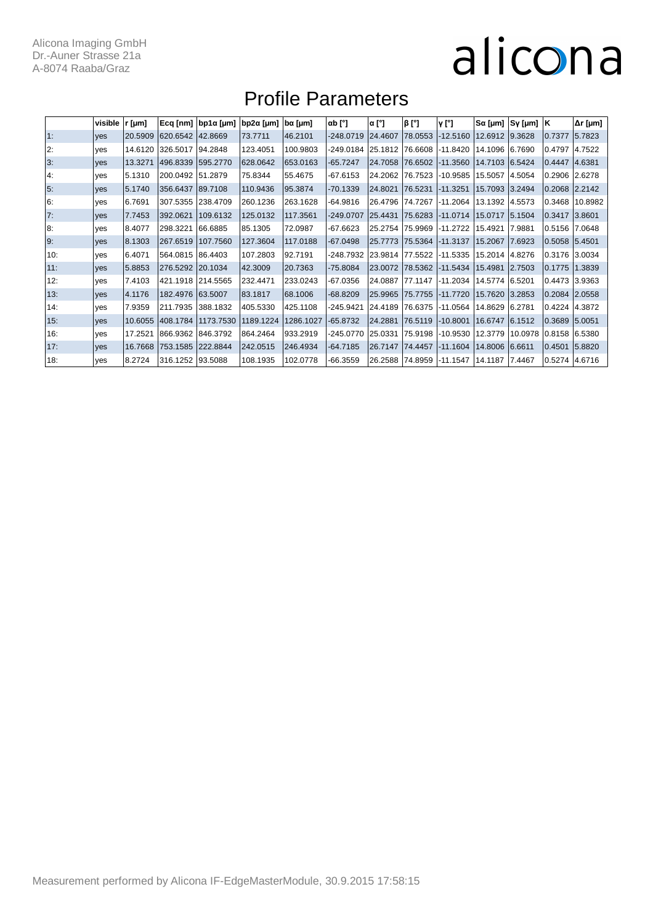#### Profile Parameters

|     | visible    | r [µm]  | $Ecq$ [nm]       | bp1α [μm] | bp2α [µm] | bα [µm]   | $\alpha b$ [°] | $\alpha$ [°]     | $\beta$ [°]     | v [°]      | Sα [µm]        | Sy [µm] | ΙK.               | $\Delta r$ [µm] |
|-----|------------|---------|------------------|-----------|-----------|-----------|----------------|------------------|-----------------|------------|----------------|---------|-------------------|-----------------|
| 1:  | ves        | 20.5909 | 620.6542         | 42.8669   | 73.7711   | 46.2101   | $-248.0719$    | 24.4607          | 78.0553         | $-12.5160$ | 12.6912        | 9.3628  | 0.7377            | 5.7823          |
| 2:  | yes        | 14.6120 | 326.5017         | 94.2848   | 123.4051  | 100.9803  | -249.0184      | 25.1812          | 76.6608         | $-11.8420$ | 14.1096        | 6.7690  | 0.4797            | 4.7522          |
| 3:  | yes        | 13.3271 | 496.8339         | 595.2770  | 628.0642  | 653.0163  | $-65.7247$     | 24.7058 76.6502  |                 | $-11.3560$ | 14.7103 6.5424 |         | 0.4447            | 4.6381          |
| 4:  | ves        | 5.1310  | 200.0492         | 51.2879   | 75.8344   | 55.4675   | -67.6153       | 24.2062          | 76.7523         | $-10.9585$ | 15.5057        | 4.5054  | 0.2906            | 2.6278          |
| 5:  | yes        | 5.1740  | 356.6437         | 89.7108   | 110.9436  | 95.3874   | $-70.1339$     | 24.8021          | 76.5231         | $-11.3251$ | 15.7093        | 3.2494  | 0.2068 2.2142     |                 |
| 6:  | yes        | 6.7691  | 307.5355         | 238.4709  | 260.1236  | 263.1628  | $-64.9816$     |                  | 26.4796 74.7267 | $-11.2064$ | 13.1392 4.5573 |         | 0.3468            | 10.8982         |
| 7:  | <b>ves</b> | 7.7453  | 392.0621         | 109.6132  | 125.0132  | 117.3561  | -249.0707      | 25.4431          | 75.6283         | $-11.0714$ | 15.0717        | 15.1504 | 0.3417            | 3.8601          |
| 8:  | yes        | 8.4077  | 298.3221         | 66.6885   | 85.1305   | 72.0987   | -67.6623       | 25.2754          | 75.9969         | $-11.2722$ | 15.4921        | 7.9881  | 0.5156            | 7.0648          |
| 9:  | <b>ves</b> | 8.1303  | 267.6519         | 107.7560  | 127.3604  | 117.0188  | -67.0498       | 25.7773 75.5364  |                 | $-11.3137$ | 15.2067        | 7.6923  | 0.5058 5.4501     |                 |
| 10: | yes        | 6.4071  | 564.0815 86.4403 |           | 107.2803  | 92.7191   | -248.7932      | 23.9814 77.5522  |                 | -11.5335   | 15.2014 4.8276 |         | 0.3176 3.0034     |                 |
| 11: | <b>ves</b> | 5.8853  | 276.5292 20.1034 |           | 42.3009   | 20.7363   | -75.8084       | 23.0072  78.5362 |                 | $-11.5434$ | 15.4981        | 2.7503  | 0.1775            | 1.3839          |
| 12: | ves        | 7.4103  | 421.1918         | 214.5565  | 232.4471  | 233.0243  | $-67.0356$     | 24.0887 77.1147  |                 | $-11.2034$ | 14.5774 6.5201 |         | 0.4473 3.9363     |                 |
| 13: | <b>ves</b> | 4.1176  | 182.4976         | 63.5007   | 83.1817   | 68.1006   | $-68.8209$     | 25.9965 75.7755  |                 | $-11.7720$ | 15.7620        | 3.2853  | $0.2084$ 2.0558   |                 |
| 14: | ves        | 7.9359  | 211.7935         | 388.1832  | 405.5330  | 425.1108  | -245.9421      |                  | 24.4189 76.6375 | $-11.0564$ | 14.8629 6.2781 |         | 0.4224 4.3872     |                 |
| 15: | <b>ves</b> | 10.6055 | 408.1784         | 1173.7530 | 1189.1224 | 1286.1027 | -65.8732       | 24.2881          | 76.5119         | $-10.8001$ | 16.6747 6.1512 |         | 0.3689            | 15.0051         |
| 16: | yes        | 17.2521 | 866.9362         | 846.3792  | 864.2464  | 933.2919  | -245.0770      | 25.0331          | 75.9198         | $-10.9530$ | 12.3779        | 10.0978 | $ 0.8158 $ 6.5380 |                 |
| 17: | <b>ves</b> | 16.7668 | 753.1585         | 222.8844  | 242.0515  | 246.4934  | -64.7185       | 26.7147  74.4457 |                 | $-11.1604$ | 14.8006 6.6611 |         | 0.4501            | 5.8820          |
| 18: | ves        | 8.2724  | 316.1252 93.5088 |           | 108.1935  | 102.0778  | -66.3559       |                  | 26.2588 74.8959 | -11.1547   | 14.1187 7.4467 |         | 0.5274  4.6716    |                 |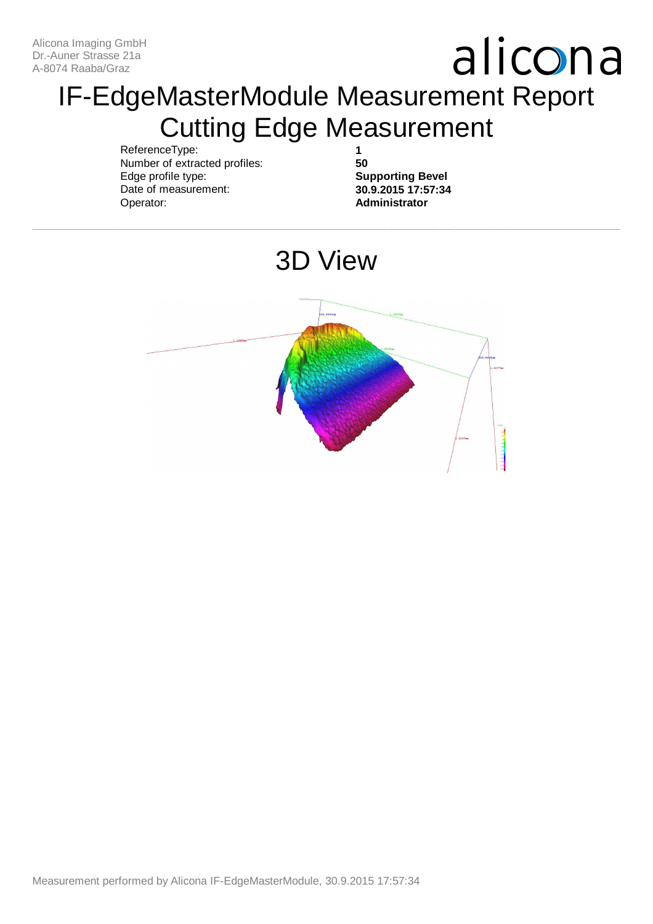### IF-EdgeMasterModule Measurement Report Cutting Edge Measurement

ReferenceType: Number of extracted profiles: Edge profile type: Date of measurement: Operator:

**1 50**

**Supporting Bevel 30.9.2015 17:57:34 Administrator**

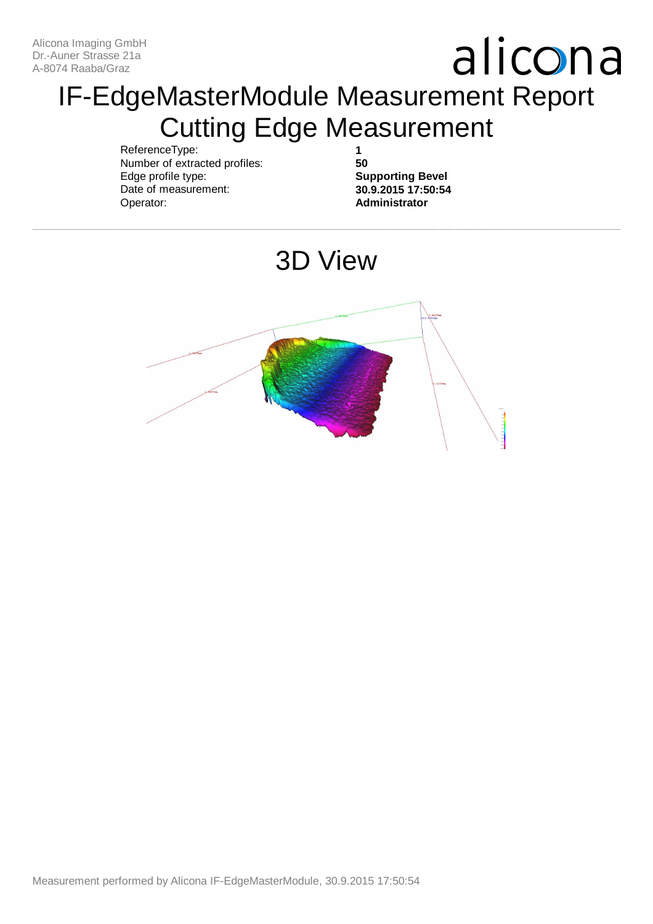### IF-EdgeMasterModule Measurement Report Cutting Edge Measurement

ReferenceType: Number of extracted profiles: Edge profile type: Date of measurement: Operator:

**1 50**

**Supporting Bevel 30.9.2015 17:50:54 Administrator**

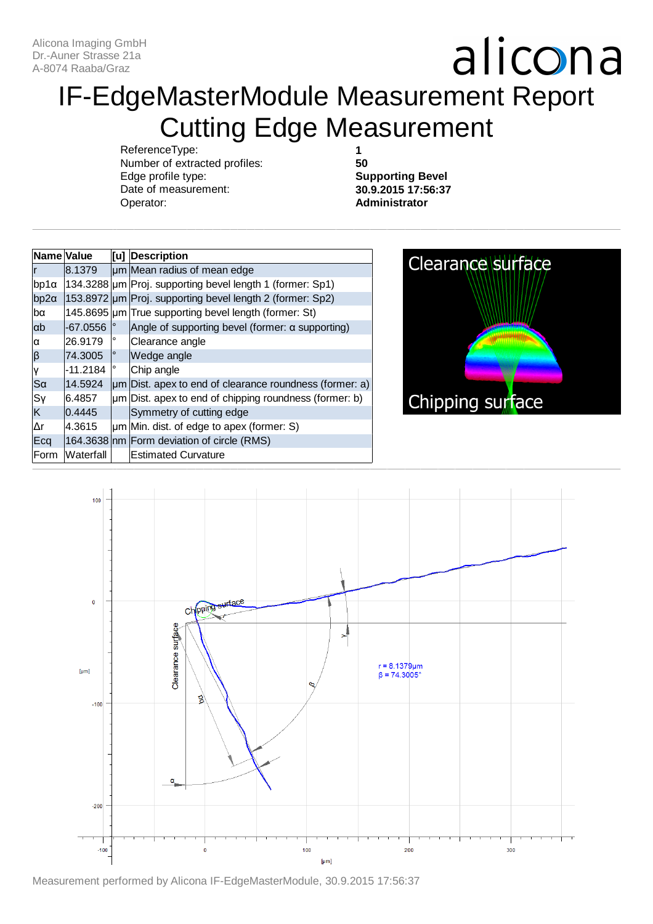### IF-EdgeMasterModule Measurement Report Cutting Edge Measurement

ReferenceType: Number of extracted profiles: Edge profile type: Date of measurement: Operator:

**1 50**

**Supporting Bevel 30.9.2015 17:56:37 Administrator**

| Name Value  |            |         | [u] Description                                              |
|-------------|------------|---------|--------------------------------------------------------------|
|             | 8.1379     |         | um Mean radius of mean edge                                  |
| $bp1\alpha$ |            |         | 134.3288  um   Proj. supporting bevel length 1 (former: Sp1) |
| $bp2\alpha$ |            |         | 153.8972 um Proj. supporting bevel length 2 (former: Sp2)    |
| lbα         |            |         | 145.8695 um True supporting bevel length (former: St)        |
| ab          | $-67.0556$ |         | Angle of supporting bevel (former: $\alpha$ supporting)      |
| lα          | 26.9179    | $\circ$ | Clearance angle                                              |
| $\beta$     | 74.3005    | 0       | Wedge angle                                                  |
| ۱Y          | $-11.2184$ | 0       | Chip angle                                                   |
| $ S\alpha$  | 14.5924    |         | um Dist. apex to end of clearance roundness (former: a)      |
| Sγ          | 6.4857     |         | $\mu$ m Dist. apex to end of chipping roundness (former: b)  |
| ΙK          | 0.4445     |         | Symmetry of cutting edge                                     |
| lΔr         | 4.3615     |         | $\mu$ m Min. dist. of edge to apex (former: S)               |
| Ecq         |            |         | 164.3638 nm Form deviation of circle (RMS)                   |
| Form        | Waterfall  |         | <b>Estimated Curvature</b>                                   |





Measurement performed by Alicona IF-EdgeMasterModule, 30.9.2015 17:56:37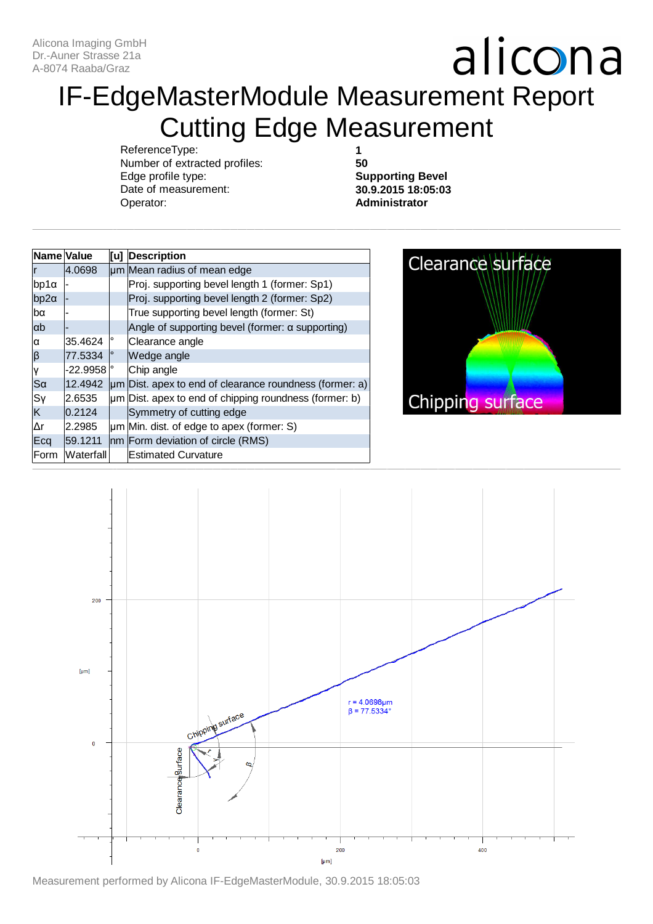### IF-EdgeMasterModule Measurement Report Cutting Edge Measurement

ReferenceType: Number of extracted profiles: Edge profile type: Date of measurement: Operator:

**1 50**

**Supporting Bevel 30.9.2015 18:05:03 Administrator**

| Name Value             |                       |         | [u] Description                                              |
|------------------------|-----------------------|---------|--------------------------------------------------------------|
|                        | 4.0698                |         | um Mean radius of mean edge                                  |
| bp1α                   |                       |         | Proj. supporting bevel length 1 (former: Sp1)                |
| $bp2\alpha$            |                       |         | Proj. supporting bevel length 2 (former: Sp2)                |
| lbα                    |                       |         | True supporting bevel length (former: St)                    |
| lαb                    |                       |         | Angle of supporting bevel (former: a supporting)             |
| α                      | 35.4624               | $\circ$ | Clearance angle                                              |
| $ \boldsymbol{\beta} $ | 77.5334               | $\circ$ | Wedge angle                                                  |
| ΙY                     | $-22.9958$ $^{\circ}$ |         | Chip angle                                                   |
| $ S\alpha$             | 12.4942               |         | $\mu$ m Dist. apex to end of clearance roundness (former: a) |
| Sγ                     | 2.6535                |         | $\mu$ m Dist. apex to end of chipping roundness (former: b)  |
| ΙK                     | 0.2124                |         | Symmetry of cutting edge                                     |
| l∆r                    | 2.2985                |         | $\mu$ m Min. dist. of edge to apex (former: S)               |
| Ecq                    | 59.1211               |         | nm Form deviation of circle (RMS)                            |
| Form                   | Waterfall             |         | <b>Estimated Curvature</b>                                   |



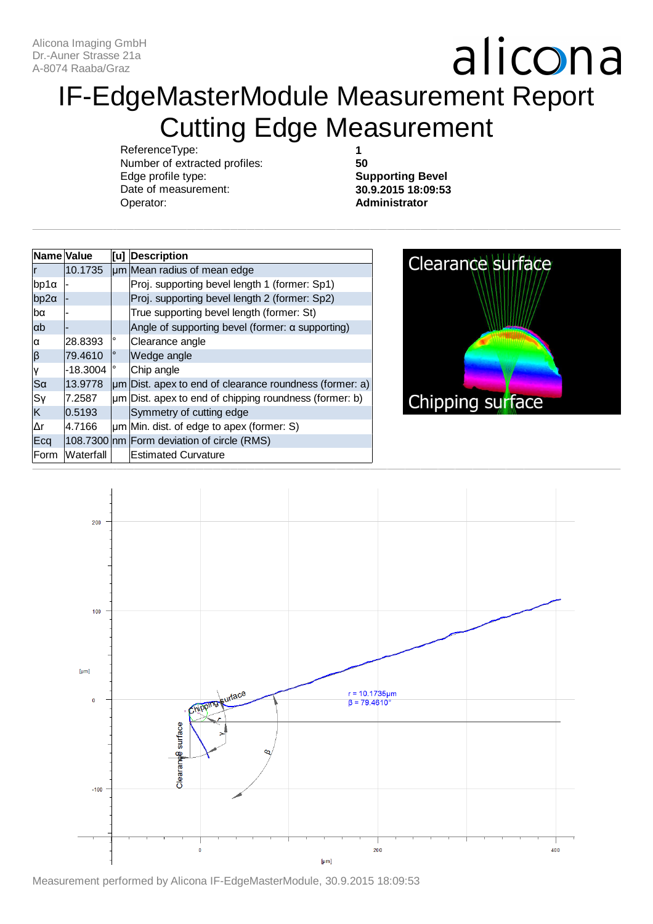### IF-EdgeMasterModule Measurement Report Cutting Edge Measurement

ReferenceType: Number of extracted profiles: Edge profile type: Date of measurement: Operator:

**1 50**

**Supporting Bevel 30.9.2015 18:09:53 Administrator**

| Name Value  |            |         | [u] Description                                              |
|-------------|------------|---------|--------------------------------------------------------------|
|             | 10.1735    |         | um Mean radius of mean edge                                  |
| $bp1\alpha$ |            |         | Proj. supporting bevel length 1 (former: Sp1)                |
| $bp2\alpha$ |            |         | Proj. supporting bevel length 2 (former: Sp2)                |
| lbα         |            |         | True supporting bevel length (former: St)                    |
| ab          |            |         | Angle of supporting bevel (former: $\alpha$ supporting)      |
| α           | 28.8393    | o       | Clearance angle                                              |
| $ \beta $   | 79.4610    | $\circ$ | Wedge angle                                                  |
| ۱y          | $-18.3004$ | ۰       | Chip angle                                                   |
| $ S\alpha$  | 13.9778    |         | $\mu$ m Dist. apex to end of clearance roundness (former: a) |
| Sγ          | 7.2587     |         | $\mu$ m Dist. apex to end of chipping roundness (former: b)  |
| K           | 0.5193     |         | Symmetry of cutting edge                                     |
| Δr          | 4.7166     |         | $\mu$ m Min. dist. of edge to apex (former: S)               |
| Ecq         |            |         | 108.7300 nm Form deviation of circle (RMS)                   |
| Form        | Waterfall  |         | <b>Estimated Curvature</b>                                   |





Measurement performed by Alicona IF-EdgeMasterModule, 30.9.2015 18:09:53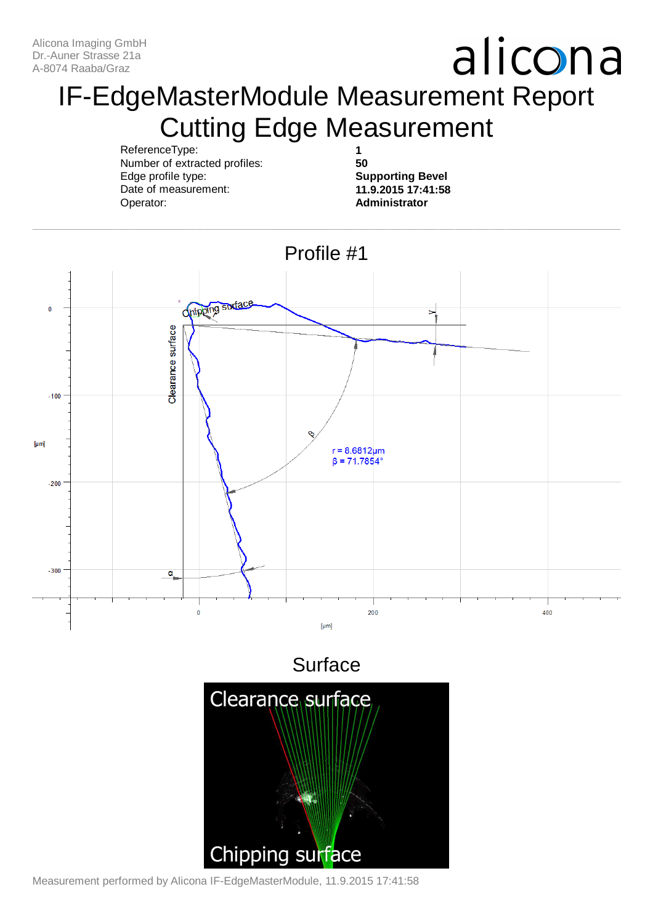#### IF-EdgeMasterModule Measurement Report Cutting Edge Measurement

ReferenceType: Number of extracted profiles: Edge profile type: Date of measurement: Operator:

**1 50**

**Supporting Bevel 11.9.2015 17:41:58 Administrator**



Measurement performed by Alicona IF-EdgeMasterModule, 11.9.2015 17:41:58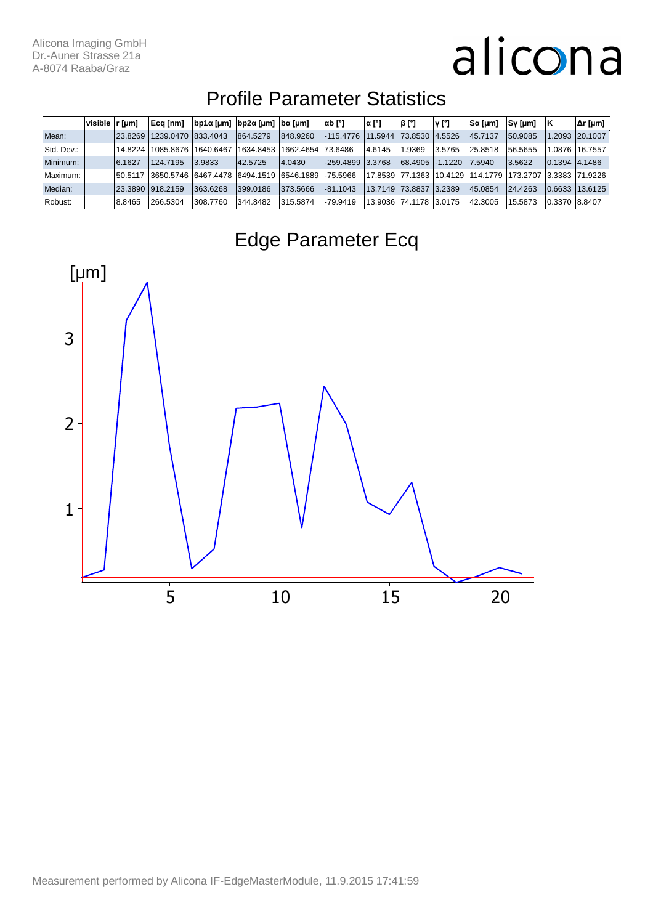#### Profile Parameter Statistics

|            | $visible$ $r \, \text{[µm]}$ |         | Ecg [nm]           | $ bp1\alpha$ [µm] $ bp2\alpha$ [µm] $ ba$ [µm] |           |           | αb [°]           | ∣α [°] | β [°]                      | Y [°]   | $S\alpha$ [µm] | Sy [µm]  |               | Δr [µm]         |
|------------|------------------------------|---------|--------------------|------------------------------------------------|-----------|-----------|------------------|--------|----------------------------|---------|----------------|----------|---------------|-----------------|
| Mean:      |                              | 23.8269 | 1239.0470 833.4043 |                                                | 864.5279  | 848,9260  | -115.4776        |        | 11.5944   73.8530   4.5526 |         | 45.7137        | 50.9085  |               | 1.2093 20.1007  |
| Std. Dev.: |                              | 14.8224 | 1085.8676          | 1640.6467                                      | 1634.8453 | 1662.4654 | 73.6486          | 4.6145 | .9369                      | 3.5765  | 25.8518        | 56.5655  | 1.0876        | 16.7557         |
| Minimum:   |                              | 6.1627  | 124.7195           | 3.9833                                         | 42.5725   | 4.0430    | -259.4899 3.3768 |        | 68.4905   -1.1220          |         | 7.5940         | 3.5622   | 0.1394 4.1486 |                 |
| Maximum:   |                              | 50.5117 |                    | 3650.5746 6467.4478 6494.1519 6546.1889        |           |           | $-75.5966$       |        | 17.8539   77.1363          | 10.4129 | 114.1779       | 173,2707 |               | 3.3383  71.9226 |
| Median:    |                              |         | 23.3890 918.2159   | 363.6268                                       | 399,0186  | 373.5666  | $-81.1043$       |        | 13.7149  73.8837  3.2389   |         | 45.0854        | 24.4263  | 0.6633        | 13.6125         |
| Robust:    |                              | 8.8465  | 266.5304           | 308,7760                                       | 344.8482  | 315.5874  | -79.9419         |        | 13.9036  74.1178  3.0175   |         | 42.3005        | 15.5873  | 0.3370 8.8407 |                 |



#### Edge Parameter Ecq